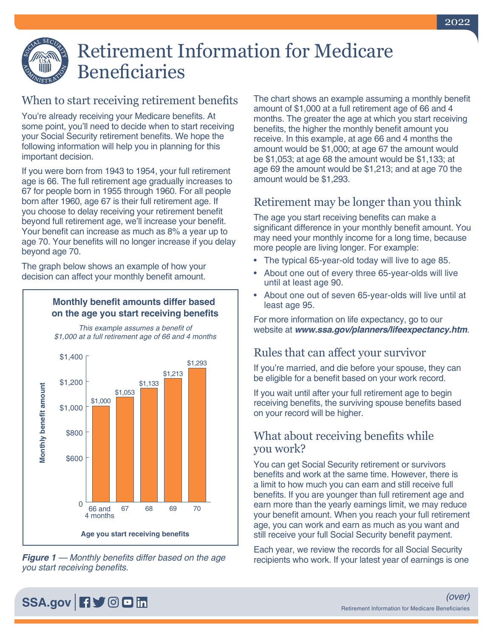

# Retirement Information for Medicare Beneficiaries

# When to start receiving retirement benefits

You're already receiving your Medicare benefits. At some point, you'll need to decide when to start receiving your Social Security retirement benefits. We hope the following information will help you in planning for this important decision.

If you were born from 1943 to 1954, your full retirement age is 66. The full retirement age gradually increases to 67 for people born in 1955 through 1960. For all people born after 1960, age 67 is their full retirement age. If you choose to delay receiving your retirement benefit beyond full retirement age, we'll increase your benefit. Your benefit can increase as much as 8% a year up to age 70. Your benefits will no longer increase if you delay beyond age 70.

The graph below shows an example of how your decision can affect your monthly benefit amount.

## Monthly benefit amounts differ based on the age you start receiving benefits

This example assumes a benefit of



*Figure 1* — Monthly benefits differ based on the age you start receiving benefits.

The chart shows an example assuming a monthly benefit amount of \$1,000 at a full retirement age of 66 and 4 months. The greater the age at which you start receiving benefits, the higher the monthly benefit amount you receive. In this example, at age 66 and 4 months the amount would be \$1,000; at age 67 the amount would be \$1,053; at age 68 the amount would be \$1,133; at age 69 the amount would be \$1,213; and at age 70 the amount would be \$1,293.

# Retirement may be longer than you think

The age you start receiving benefits can make a significant difference in your monthly benefit amount. You may need your monthly income for a long time, because more people are living longer. For example:

- The typical 65-year-old today will live to age 85.
- About one out of every three 65-year-olds will live until at least age 90.
- About one out of seven 65-year-olds will live until at least age 95.

For more information on life expectancy, go to our website at *[www.ssa.gov/planners/lifeexpectancy.htm](https://www.ssa.gov/planners/lifeexpectancy.htm)*.

# Rules that can affect your survivor

If you're married, and die before your spouse, they can be eligible for a benefit based on your work record.

If you wait until after your full retirement age to begin receiving benefits, the surviving spouse benefits based on your record will be higher.

## What about receiving benefits while you work?

You can get Social Security retirement or survivors benefits and work at the same time. However, there is a limit to how much you can earn and still receive full benefits. If you are younger than full retirement age and earn more than the yearly earnings limit, we may reduce your benefit amount. When you reach your [full retirement](https://www.ssa.gov/benefits/retirement/planner/ageincrease.html)  [age](https://www.ssa.gov/benefits/retirement/planner/ageincrease.html), you can work and earn as much as you want and still receive your full Social Security benefit payment.

Each year, we review the records for all Social Security recipients who work. If your latest year of earnings is one